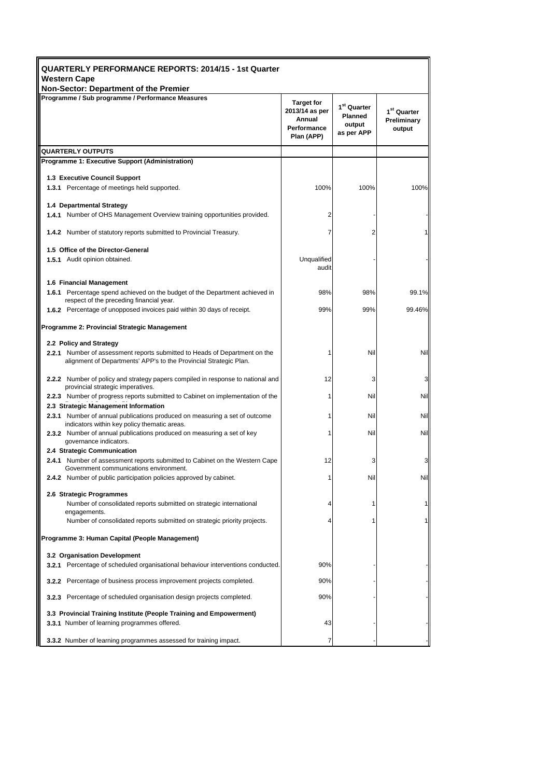| QUARTERLY PERFORMANCE REPORTS: 2014/15 - 1st Quarter<br><b>Western Cape</b>                                                                     |                                                                            |                                                                   |                                                  |  |  |
|-------------------------------------------------------------------------------------------------------------------------------------------------|----------------------------------------------------------------------------|-------------------------------------------------------------------|--------------------------------------------------|--|--|
| Non-Sector: Department of the Premier                                                                                                           |                                                                            |                                                                   |                                                  |  |  |
| Programme / Sub programme / Performance Measures                                                                                                | <b>Target for</b><br>2013/14 as per<br>Annual<br>Performance<br>Plan (APP) | 1 <sup>st</sup> Quarter<br><b>Planned</b><br>output<br>as per APP | 1 <sup>st</sup> Quarter<br>Preliminary<br>output |  |  |
| <b>QUARTERLY OUTPUTS</b>                                                                                                                        |                                                                            |                                                                   |                                                  |  |  |
| <b>Programme 1: Executive Support (Administration)</b>                                                                                          |                                                                            |                                                                   |                                                  |  |  |
| 1.3 Executive Council Support                                                                                                                   |                                                                            |                                                                   |                                                  |  |  |
| <b>1.3.1</b> Percentage of meetings held supported.                                                                                             | 100%                                                                       | 100%                                                              | 100%                                             |  |  |
|                                                                                                                                                 |                                                                            |                                                                   |                                                  |  |  |
| 1.4 Departmental Strategy                                                                                                                       |                                                                            |                                                                   |                                                  |  |  |
| 1.4.1 Number of OHS Management Overview training opportunities provided.                                                                        | 2                                                                          |                                                                   |                                                  |  |  |
| <b>1.4.2</b> Number of statutory reports submitted to Provincial Treasury.                                                                      |                                                                            | 2                                                                 |                                                  |  |  |
| 1.5 Office of the Director-General                                                                                                              |                                                                            |                                                                   |                                                  |  |  |
| 1.5.1 Audit opinion obtained.                                                                                                                   | Unqualified<br>audit                                                       |                                                                   |                                                  |  |  |
| 1.6 Financial Management                                                                                                                        |                                                                            |                                                                   |                                                  |  |  |
| 1.6.1 Percentage spend achieved on the budget of the Department achieved in<br>respect of the preceding financial year.                         | 98%                                                                        | 98%                                                               | 99.1%                                            |  |  |
| <b>1.6.2</b> Percentage of unopposed invoices paid within 30 days of receipt.                                                                   | 99%                                                                        | 99%                                                               | 99.46%                                           |  |  |
| Programme 2: Provincial Strategic Management                                                                                                    |                                                                            |                                                                   |                                                  |  |  |
| 2.2 Policy and Strategy                                                                                                                         |                                                                            |                                                                   |                                                  |  |  |
| 2.2.1 Number of assessment reports submitted to Heads of Department on the<br>alignment of Departments' APP's to the Provincial Strategic Plan. |                                                                            | Nil                                                               | Nil                                              |  |  |
| 2.2.2 Number of policy and strategy papers compiled in response to national and<br>provincial strategic imperatives.                            | 12                                                                         | 3                                                                 | 3                                                |  |  |
| <b>2.2.3</b> Number of progress reports submitted to Cabinet on implementation of the                                                           | 1                                                                          | Nil                                                               | Nil                                              |  |  |
| 2.3 Strategic Management Information                                                                                                            |                                                                            |                                                                   |                                                  |  |  |
| <b>2.3.1</b> Number of annual publications produced on measuring a set of outcome<br>indicators within key policy thematic areas.               | 1                                                                          | Nil                                                               | Nil                                              |  |  |
| 2.3.2 Number of annual publications produced on measuring a set of key<br>governance indicators.                                                |                                                                            | Nil                                                               | Nil                                              |  |  |
| 2.4 Strategic Communication<br><b>2.4.1</b> Number of assessment reports submitted to Cabinet on the Western Cape                               | 12                                                                         | 3                                                                 | 3                                                |  |  |
| Government communications environment.                                                                                                          |                                                                            |                                                                   |                                                  |  |  |
| 2.4.2 Number of public participation policies approved by cabinet.                                                                              | 1                                                                          | Nil                                                               | Nil                                              |  |  |
| 2.6 Strategic Programmes                                                                                                                        |                                                                            |                                                                   |                                                  |  |  |
| Number of consolidated reports submitted on strategic international                                                                             | 4                                                                          | 1                                                                 |                                                  |  |  |
| engagements.<br>Number of consolidated reports submitted on strategic priority projects.                                                        |                                                                            | 1                                                                 |                                                  |  |  |
| Programme 3: Human Capital (People Management)                                                                                                  |                                                                            |                                                                   |                                                  |  |  |
| 3.2 Organisation Development                                                                                                                    |                                                                            |                                                                   |                                                  |  |  |
| <b>3.2.1</b> Percentage of scheduled organisational behaviour interventions conducted.                                                          | 90%                                                                        |                                                                   |                                                  |  |  |
| 3.2.2 Percentage of business process improvement projects completed.                                                                            | 90%                                                                        |                                                                   |                                                  |  |  |
| 3.2.3 Percentage of scheduled organisation design projects completed.                                                                           | 90%                                                                        |                                                                   |                                                  |  |  |
| 3.3 Provincial Training Institute (People Training and Empowerment)<br>3.3.1 Number of learning programmes offered.                             | 43                                                                         |                                                                   |                                                  |  |  |
| 3.3.2 Number of learning programmes assessed for training impact.                                                                               | 7                                                                          |                                                                   |                                                  |  |  |